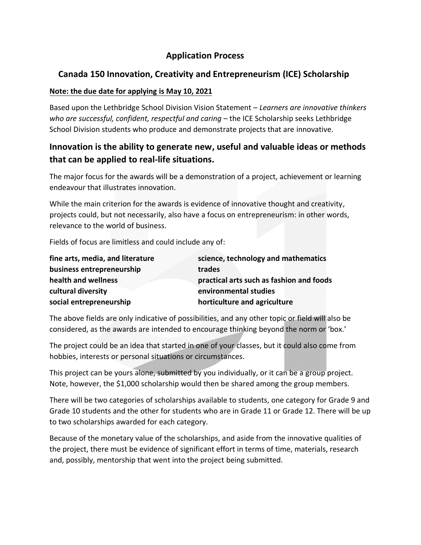### **Application Process**

# **Canada 150 Innovation, Creativity and Entrepreneurism (ICE) Scholarship**

#### **Note: the due date for applying is May 10, 2021**

Based upon the Lethbridge School Division Vision Statement – *Learners are innovative thinkers who are successful, confident, respectful and caring* – the ICE Scholarship seeks Lethbridge School Division students who produce and demonstrate projects that are innovative.

# **Innovation is the ability to generate new, useful and valuable ideas or methods that can be applied to real-life situations.**

The major focus for the awards will be a demonstration of a project, achievement or learning endeavour that illustrates innovation.

While the main criterion for the awards is evidence of innovative thought and creativity, projects could, but not necessarily, also have a focus on entrepreneurism: in other words, relevance to the world of business.

Fields of focus are limitless and could include any of:

| fine arts, media, and literature | science, technology and mathematics      |
|----------------------------------|------------------------------------------|
| business entrepreneurship        | trades                                   |
| health and wellness              | practical arts such as fashion and foods |
| cultural diversity               | environmental studies                    |
| social entrepreneurship          | horticulture and agriculture             |

The above fields are only indicative of possibilities, and any other topic or field will also be considered, as the awards are intended to encourage thinking beyond the norm or 'box.'

The project could be an idea that started in one of your classes, but it could also come from hobbies, interests or personal situations or circumstances.

This project can be yours alone, submitted by you individually, or it can be a group project. Note, however, the \$1,000 scholarship would then be shared among the group members.

There will be two categories of scholarships available to students, one category for Grade 9 and Grade 10 students and the other for students who are in Grade 11 or Grade 12. There will be up to two scholarships awarded for each category.

Because of the monetary value of the scholarships, and aside from the innovative qualities of the project, there must be evidence of significant effort in terms of time, materials, research and, possibly, mentorship that went into the project being submitted.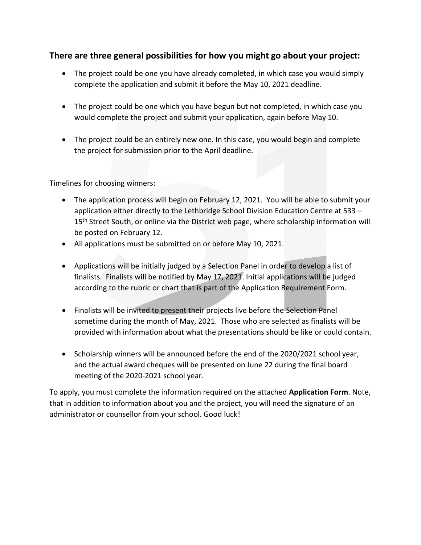### **There are three general possibilities for how you might go about your project:**

- The project could be one you have already completed, in which case you would simply complete the application and submit it before the May 10, 2021 deadline.
- The project could be one which you have begun but not completed, in which case you would complete the project and submit your application, again before May 10.
- The project could be an entirely new one. In this case, you would begin and complete the project for submission prior to the April deadline.

Timelines for choosing winners:

- The application process will begin on February 12, 2021. You will be able to submit your application either directly to the Lethbridge School Division Education Centre at 533 – 15<sup>th</sup> Street South, or online via the District web page, where scholarship information will be posted on February 12.
- All applications must be submitted on or before May 10, 2021.
- Applications will be initially judged by a Selection Panel in order to develop a list of finalists. Finalists will be notified by May 17, 2021. Initial applications will be judged according to the rubric or chart that is part of the Application Requirement Form.
- Finalists will be invited to present their projects live before the Selection Panel sometime during the month of May, 2021. Those who are selected as finalists will be provided with information about what the presentations should be like or could contain.
- Scholarship winners will be announced before the end of the 2020/2021 school year, and the actual award cheques will be presented on June 22 during the final board meeting of the 2020-2021 school year.

To apply, you must complete the information required on the attached **Application Form**. Note, that in addition to information about you and the project, you will need the signature of an administrator or counsellor from your school. Good luck!